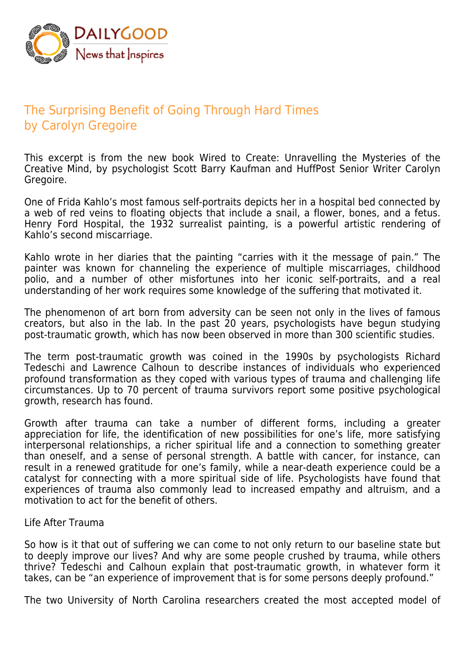

## The Surprising Benefit of Going Through Hard Times by Carolyn Gregoire

This excerpt is from the new book Wired to Create: Unravelling the Mysteries of the Creative Mind, by psychologist Scott Barry Kaufman and HuffPost Senior Writer Carolyn Gregoire.

One of Frida Kahlo's most famous self-portraits depicts her in a hospital bed connected by a web of red veins to floating objects that include a snail, a flower, bones, and a fetus. Henry Ford Hospital, the 1932 surrealist painting, is a powerful artistic rendering of Kahlo's second miscarriage.

Kahlo wrote in her diaries that the painting "carries with it the message of pain." The painter was known for channeling the experience of multiple miscarriages, childhood polio, and a number of other misfortunes into her iconic self-portraits, and a real understanding of her work requires some knowledge of the suffering that motivated it.

The phenomenon of art born from adversity can be seen not only in the lives of famous creators, but also in the lab. In the past 20 years, psychologists have begun studying post-traumatic growth, which has now been observed in more than 300 scientific studies.

The term post-traumatic growth was coined in the 1990s by psychologists Richard Tedeschi and Lawrence Calhoun to describe instances of individuals who experienced profound transformation as they coped with various types of trauma and challenging life circumstances. Up to 70 percent of trauma survivors report some positive psychological growth, research has found.

Growth after trauma can take a number of different forms, including a greater appreciation for life, the identification of new possibilities for one's life, more satisfying interpersonal relationships, a richer spiritual life and a connection to something greater than oneself, and a sense of personal strength. A battle with cancer, for instance, can result in a renewed gratitude for one's family, while a near-death experience could be a catalyst for connecting with a more spiritual side of life. Psychologists have found that experiences of trauma also commonly lead to increased empathy and altruism, and a motivation to act for the benefit of others.

## Life After Trauma

So how is it that out of suffering we can come to not only return to our baseline state but to deeply improve our lives? And why are some people crushed by trauma, while others thrive? Tedeschi and Calhoun explain that post-traumatic growth, in whatever form it takes, can be "an experience of improvement that is for some persons deeply profound."

The two University of North Carolina researchers created the most accepted model of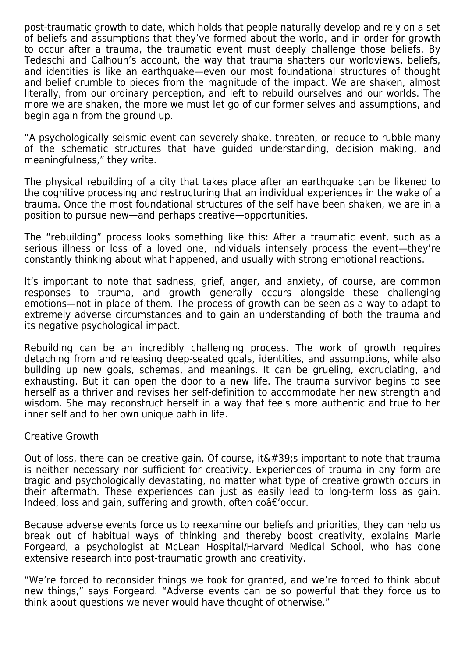post-traumatic growth to date, which holds that people naturally develop and rely on a set of beliefs and assumptions that they've formed about the world, and in order for growth to occur after a trauma, the traumatic event must deeply challenge those beliefs. By Tedeschi and Calhoun's account, the way that trauma shatters our worldviews, beliefs, and identities is like an earthquake—even our most foundational structures of thought and belief crumble to pieces from the magnitude of the impact. We are shaken, almost literally, from our ordinary perception, and left to rebuild ourselves and our worlds. The more we are shaken, the more we must let go of our former selves and assumptions, and begin again from the ground up.

"A psychologically seismic event can severely shake, threaten, or reduce to rubble many of the schematic structures that have guided understanding, decision making, and meaningfulness," they write.

The physical rebuilding of a city that takes place after an earthquake can be likened to the cognitive processing and restructuring that an individual experiences in the wake of a trauma. Once the most foundational structures of the self have been shaken, we are in a position to pursue new—and perhaps creative—opportunities.

The "rebuilding" process looks something like this: After a traumatic event, such as a serious illness or loss of a loved one, individuals intensely process the event—they're constantly thinking about what happened, and usually with strong emotional reactions.

It's important to note that sadness, grief, anger, and anxiety, of course, are common responses to trauma, and growth generally occurs alongside these challenging emotions—not in place of them. The process of growth can be seen as a way to adapt to extremely adverse circumstances and to gain an understanding of both the trauma and its negative psychological impact.

Rebuilding can be an incredibly challenging process. The work of growth requires detaching from and releasing deep-seated goals, identities, and assumptions, while also building up new goals, schemas, and meanings. It can be grueling, excruciating, and exhausting. But it can open the door to a new life. The trauma survivor begins to see herself as a thriver and revises her self-definition to accommodate her new strength and wisdom. She may reconstruct herself in a way that feels more authentic and true to her inner self and to her own unique path in life.

## Creative Growth

Out of loss, there can be creative gain. Of course, it  $\&\#39$ ; important to note that trauma is neither necessary nor sufficient for creativity. Experiences of trauma in any form are tragic and psychologically devastating, no matter what type of creative growth occurs in their aftermath. These experiences can just as easily lead to long-term loss as gain. Indeed, loss and gain, suffering and growth, often  $\cot^2 6$  occur.

Because adverse events force us to reexamine our beliefs and priorities, they can help us break out of habitual ways of thinking and thereby boost creativity, explains Marie Forgeard, a psychologist at McLean Hospital/Harvard Medical School, who has done extensive research into post-traumatic growth and creativity.

"We're forced to reconsider things we took for granted, and we're forced to think about new things," says Forgeard. "Adverse events can be so powerful that they force us to think about questions we never would have thought of otherwise."